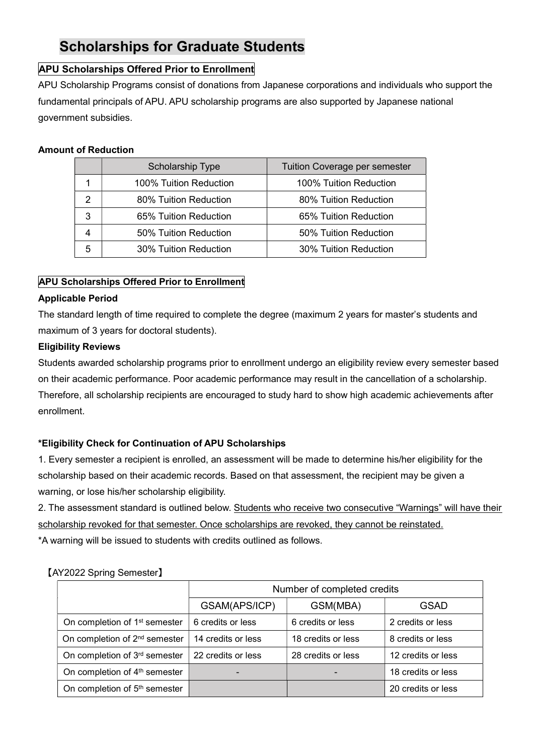# Scholarships for Graduate Students

# APU Scholarships Offered Prior to Enrollment

APU Scholarship Programs consist of donations from Japanese corporations and individuals who support the fundamental principals of APU. APU scholarship programs are also supported by Japanese national government subsidies.

# Amount of Reduction

|   | Scholarship Type       | <b>Tuition Coverage per semester</b> |
|---|------------------------|--------------------------------------|
|   | 100% Tuition Reduction | 100% Tuition Reduction               |
|   | 80% Tuition Reduction  | 80% Tuition Reduction                |
| 3 | 65% Tuition Reduction  | 65% Tuition Reduction                |
|   | 50% Tuition Reduction  | 50% Tuition Reduction                |
| 5 | 30% Tuition Reduction  | 30% Tuition Reduction                |

# APU Scholarships Offered Prior to Enrollment

## Applicable Period

The standard length of time required to complete the degree (maximum 2 years for master's students and maximum of 3 years for doctoral students).

# Eligibility Reviews

Students awarded scholarship programs prior to enrollment undergo an eligibility review every semester based on their academic performance. Poor academic performance may result in the cancellation of a scholarship. Therefore, all scholarship recipients are encouraged to study hard to show high academic achievements after enrollment.

# \*Eligibility Check for Continuation of APU Scholarships

1. Every semester a recipient is enrolled, an assessment will be made to determine his/her eligibility for the scholarship based on their academic records. Based on that assessment, the recipient may be given a warning, or lose his/her scholarship eligibility.

2. The assessment standard is outlined below. Students who receive two consecutive "Warnings" will have their scholarship revoked for that semester. Once scholarships are revoked, they cannot be reinstated.

\*A warning will be issued to students with credits outlined as follows.

|                                           | Number of completed credits |                    |                    |
|-------------------------------------------|-----------------------------|--------------------|--------------------|
|                                           | GSAM(APS/ICP)               | GSM(MBA)           | <b>GSAD</b>        |
| On completion of 1 <sup>st</sup> semester | 6 credits or less           | 6 credits or less  | 2 credits or less  |
| On completion of 2 <sup>nd</sup> semester | 14 credits or less          | 18 credits or less | 8 credits or less  |
| On completion of 3rd semester             | 22 credits or less          | 28 credits or less | 12 credits or less |
| On completion of 4 <sup>th</sup> semester |                             |                    | 18 credits or less |
| On completion of 5 <sup>th</sup> semester |                             |                    | 20 credits or less |

## 【AY2022 Spring Semester】